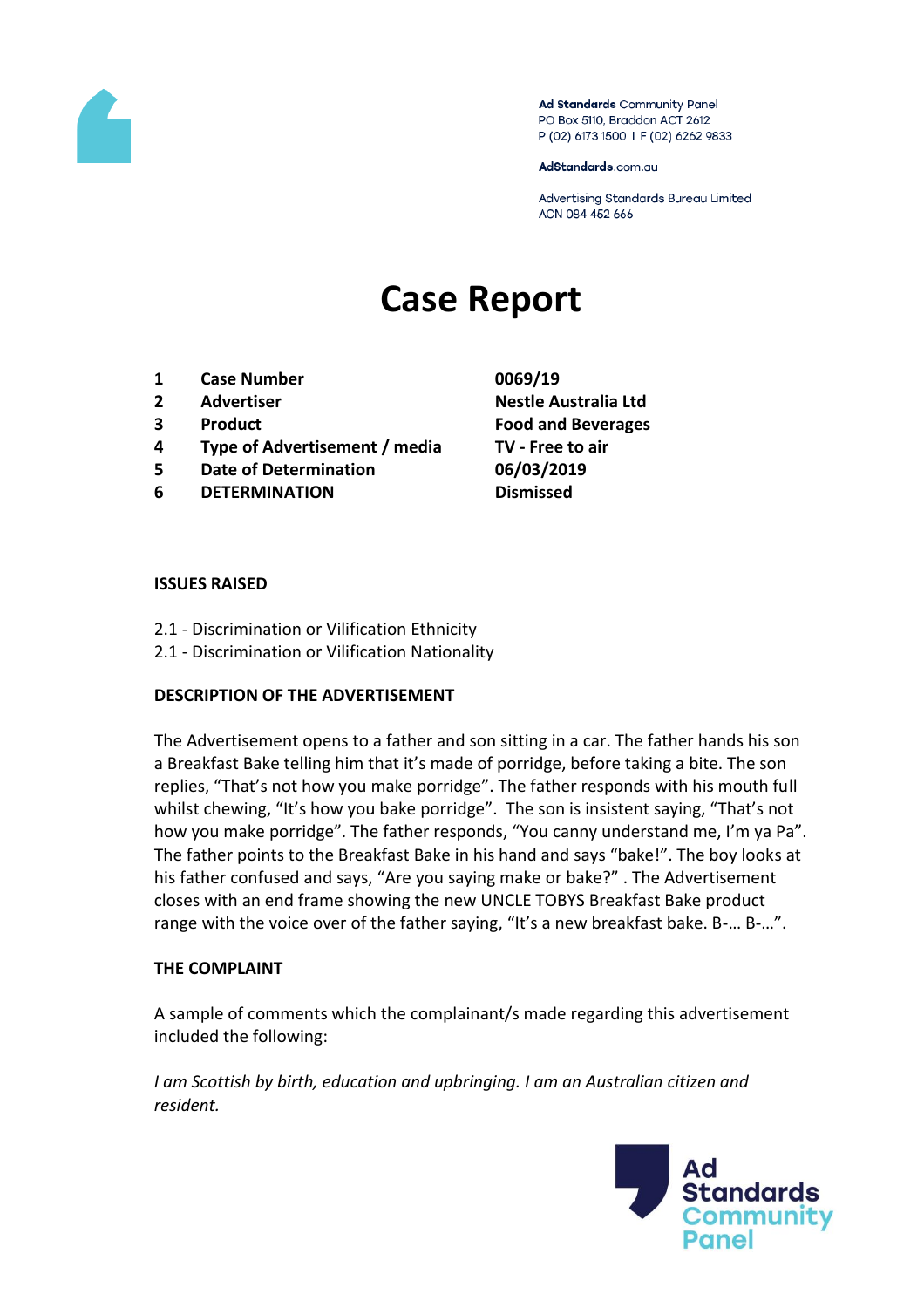

Ad Standards Community Panel PO Box 5110, Braddon ACT 2612 P (02) 6173 1500 | F (02) 6262 9833

AdStandards.com.au

Advertising Standards Bureau Limited ACN 084 452 666

# **Case Report**

- **1 Case Number 0069/19**
- 
- 
- **4 Type of Advertisement / media TV - Free to air**
- **5 Date of Determination 06/03/2019**
- **6 DETERMINATION Dismissed**
- **2 Advertiser Nestle Australia Ltd 3 Product Food and Beverages**

#### **ISSUES RAISED**

- 2.1 Discrimination or Vilification Ethnicity
- 2.1 Discrimination or Vilification Nationality

## **DESCRIPTION OF THE ADVERTISEMENT**

The Advertisement opens to a father and son sitting in a car. The father hands his son a Breakfast Bake telling him that it's made of porridge, before taking a bite. The son replies, "That's not how you make porridge". The father responds with his mouth full whilst chewing, "It's how you bake porridge". The son is insistent saying, "That's not how you make porridge". The father responds, "You canny understand me, I'm ya Pa". The father points to the Breakfast Bake in his hand and says "bake!". The boy looks at his father confused and says, "Are you saying make or bake?" . The Advertisement closes with an end frame showing the new UNCLE TOBYS Breakfast Bake product range with the voice over of the father saying, "It's a new breakfast bake. B-… B-…".

## **THE COMPLAINT**

A sample of comments which the complainant/s made regarding this advertisement included the following:

*I am Scottish by birth, education and upbringing. I am an Australian citizen and resident.*

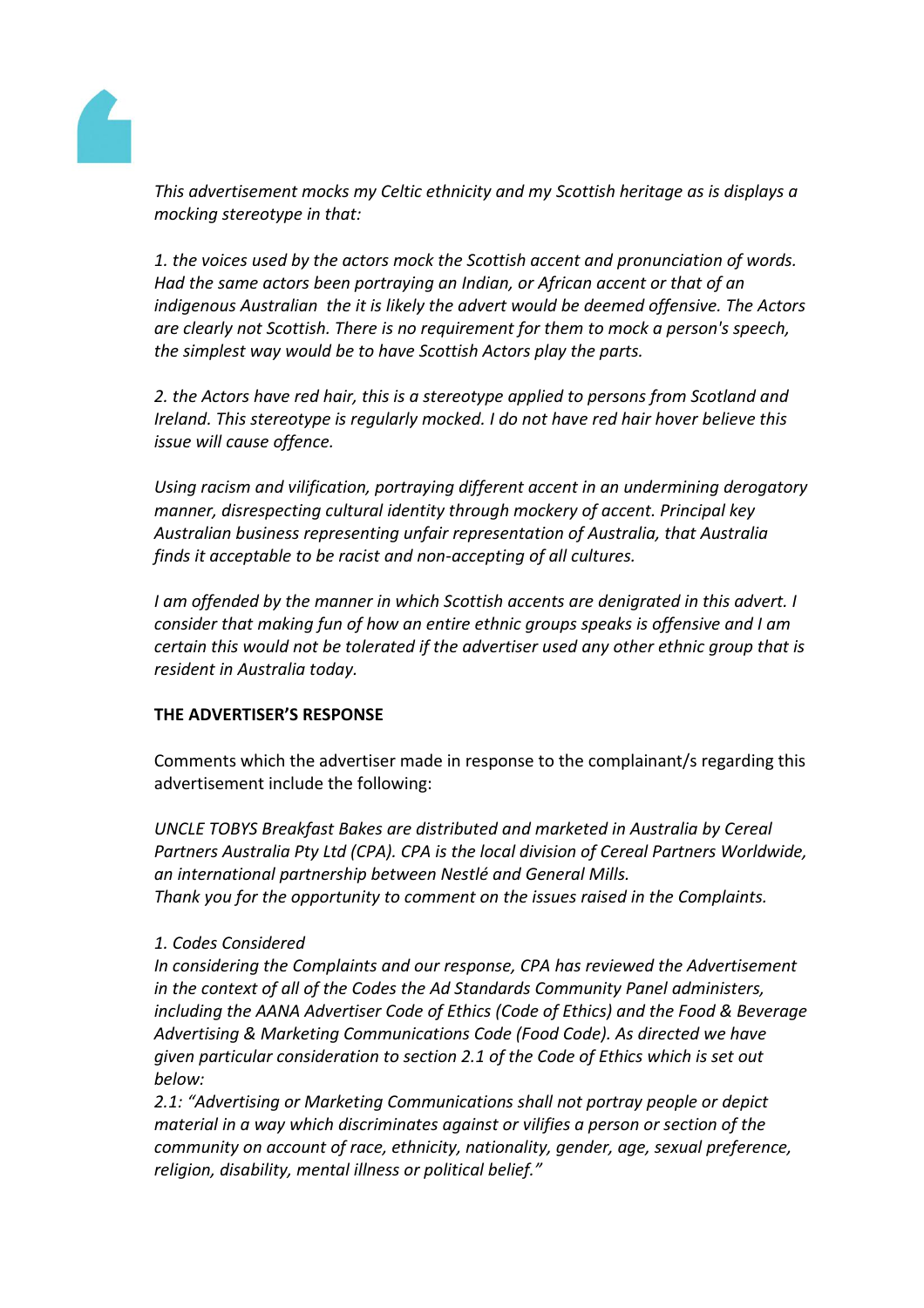

*This advertisement mocks my Celtic ethnicity and my Scottish heritage as is displays a mocking stereotype in that:*

*1. the voices used by the actors mock the Scottish accent and pronunciation of words. Had the same actors been portraying an Indian, or African accent or that of an indigenous Australian the it is likely the advert would be deemed offensive. The Actors are clearly not Scottish. There is no requirement for them to mock a person's speech, the simplest way would be to have Scottish Actors play the parts.*

*2. the Actors have red hair, this is a stereotype applied to persons from Scotland and Ireland. This stereotype is regularly mocked. I do not have red hair hover believe this issue will cause offence.*

*Using racism and vilification, portraying different accent in an undermining derogatory manner, disrespecting cultural identity through mockery of accent. Principal key Australian business representing unfair representation of Australia, that Australia finds it acceptable to be racist and non-accepting of all cultures.*

*I am offended by the manner in which Scottish accents are denigrated in this advert. I consider that making fun of how an entire ethnic groups speaks is offensive and I am certain this would not be tolerated if the advertiser used any other ethnic group that is resident in Australia today.*

# **THE ADVERTISER'S RESPONSE**

Comments which the advertiser made in response to the complainant/s regarding this advertisement include the following:

*UNCLE TOBYS Breakfast Bakes are distributed and marketed in Australia by Cereal Partners Australia Pty Ltd (CPA). CPA is the local division of Cereal Partners Worldwide, an international partnership between Nestlé and General Mills. Thank you for the opportunity to comment on the issues raised in the Complaints.*

# *1. Codes Considered*

*In considering the Complaints and our response, CPA has reviewed the Advertisement in the context of all of the Codes the Ad Standards Community Panel administers, including the AANA Advertiser Code of Ethics (Code of Ethics) and the Food & Beverage Advertising & Marketing Communications Code (Food Code). As directed we have given particular consideration to section 2.1 of the Code of Ethics which is set out below:*

*2.1: "Advertising or Marketing Communications shall not portray people or depict material in a way which discriminates against or vilifies a person or section of the community on account of race, ethnicity, nationality, gender, age, sexual preference, religion, disability, mental illness or political belief."*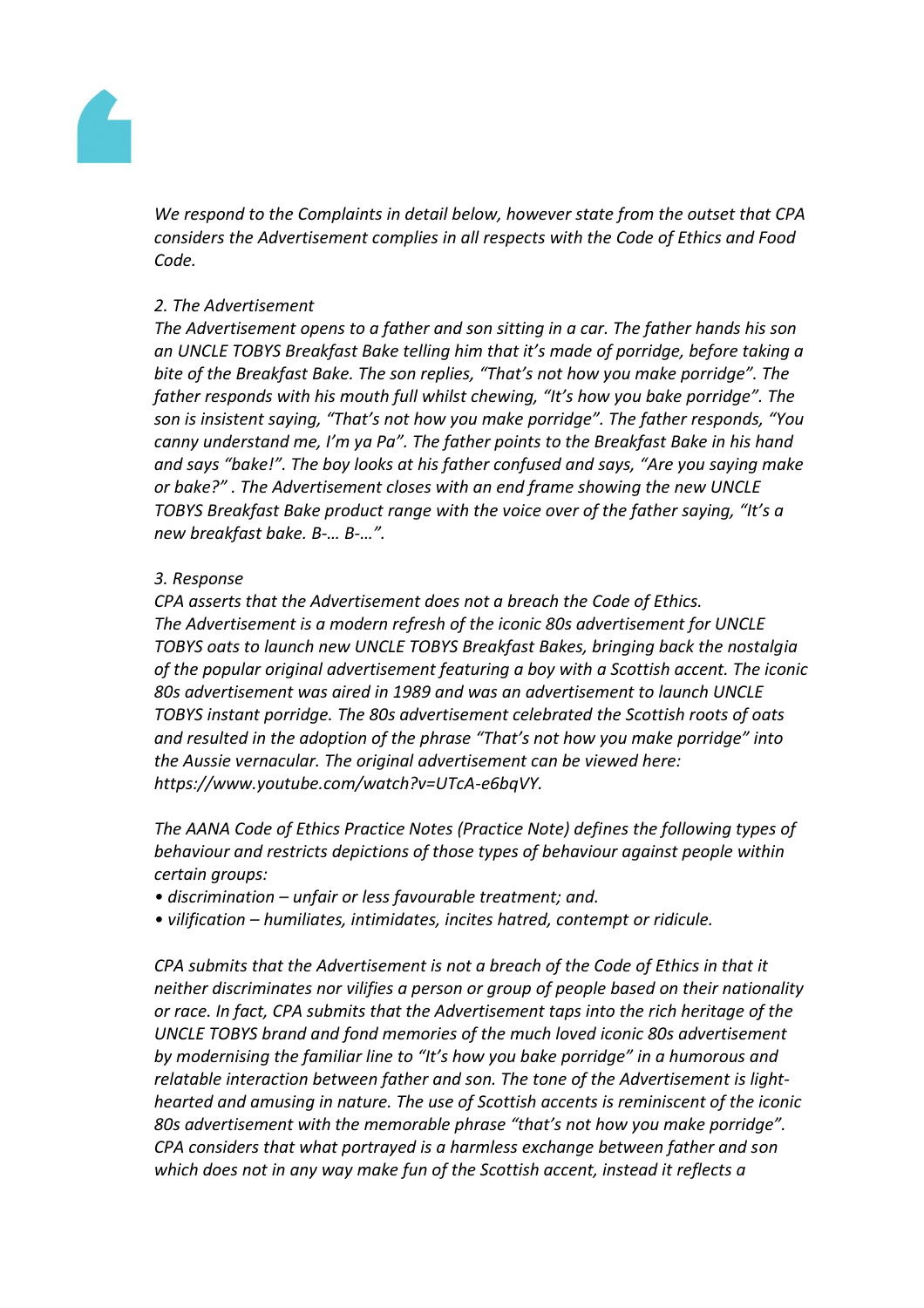

*We respond to the Complaints in detail below, however state from the outset that CPA considers the Advertisement complies in all respects with the Code of Ethics and Food Code.*

## *2. The Advertisement*

*The Advertisement opens to a father and son sitting in a car. The father hands his son an UNCLE TOBYS Breakfast Bake telling him that it's made of porridge, before taking a bite of the Breakfast Bake. The son replies, "That's not how you make porridge". The father responds with his mouth full whilst chewing, "It's how you bake porridge". The son is insistent saying, "That's not how you make porridge". The father responds, "You canny understand me, I'm ya Pa". The father points to the Breakfast Bake in his hand and says "bake!". The boy looks at his father confused and says, "Are you saying make or bake?" . The Advertisement closes with an end frame showing the new UNCLE TOBYS Breakfast Bake product range with the voice over of the father saying, "It's a new breakfast bake. B-… B-…".*

## *3. Response*

*CPA asserts that the Advertisement does not a breach the Code of Ethics. The Advertisement is a modern refresh of the iconic 80s advertisement for UNCLE TOBYS oats to launch new UNCLE TOBYS Breakfast Bakes, bringing back the nostalgia of the popular original advertisement featuring a boy with a Scottish accent. The iconic 80s advertisement was aired in 1989 and was an advertisement to launch UNCLE TOBYS instant porridge. The 80s advertisement celebrated the Scottish roots of oats and resulted in the adoption of the phrase "That's not how you make porridge" into the Aussie vernacular. The original advertisement can be viewed here: https://www.youtube.com/watch?v=UTcA-e6bqVY.* 

*The AANA Code of Ethics Practice Notes (Practice Note) defines the following types of behaviour and restricts depictions of those types of behaviour against people within certain groups:*

- *discrimination – unfair or less favourable treatment; and.*
- *vilification – humiliates, intimidates, incites hatred, contempt or ridicule.*

*CPA submits that the Advertisement is not a breach of the Code of Ethics in that it neither discriminates nor vilifies a person or group of people based on their nationality or race. In fact, CPA submits that the Advertisement taps into the rich heritage of the UNCLE TOBYS brand and fond memories of the much loved iconic 80s advertisement by modernising the familiar line to "It's how you bake porridge" in a humorous and relatable interaction between father and son. The tone of the Advertisement is lighthearted and amusing in nature. The use of Scottish accents is reminiscent of the iconic 80s advertisement with the memorable phrase "that's not how you make porridge". CPA considers that what portrayed is a harmless exchange between father and son which does not in any way make fun of the Scottish accent, instead it reflects a*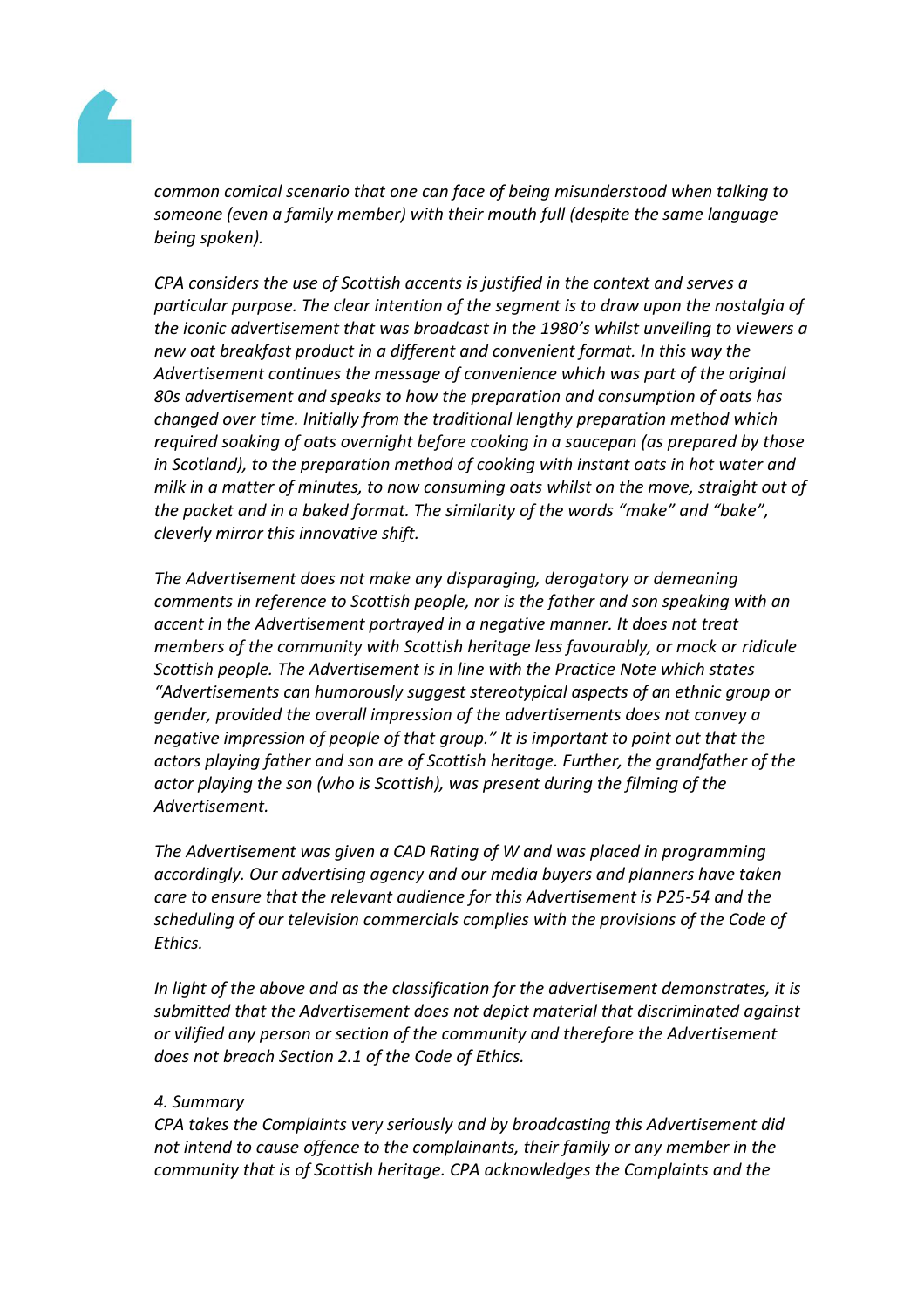

*common comical scenario that one can face of being misunderstood when talking to someone (even a family member) with their mouth full (despite the same language being spoken).*

*CPA considers the use of Scottish accents is justified in the context and serves a particular purpose. The clear intention of the segment is to draw upon the nostalgia of the iconic advertisement that was broadcast in the 1980's whilst unveiling to viewers a new oat breakfast product in a different and convenient format. In this way the Advertisement continues the message of convenience which was part of the original 80s advertisement and speaks to how the preparation and consumption of oats has changed over time. Initially from the traditional lengthy preparation method which required soaking of oats overnight before cooking in a saucepan (as prepared by those in Scotland), to the preparation method of cooking with instant oats in hot water and milk in a matter of minutes, to now consuming oats whilst on the move, straight out of the packet and in a baked format. The similarity of the words "make" and "bake", cleverly mirror this innovative shift.*

*The Advertisement does not make any disparaging, derogatory or demeaning comments in reference to Scottish people, nor is the father and son speaking with an accent in the Advertisement portrayed in a negative manner. It does not treat members of the community with Scottish heritage less favourably, or mock or ridicule Scottish people. The Advertisement is in line with the Practice Note which states "Advertisements can humorously suggest stereotypical aspects of an ethnic group or gender, provided the overall impression of the advertisements does not convey a negative impression of people of that group." It is important to point out that the actors playing father and son are of Scottish heritage. Further, the grandfather of the actor playing the son (who is Scottish), was present during the filming of the Advertisement.*

*The Advertisement was given a CAD Rating of W and was placed in programming accordingly. Our advertising agency and our media buyers and planners have taken care to ensure that the relevant audience for this Advertisement is P25-54 and the scheduling of our television commercials complies with the provisions of the Code of Ethics.*

*In light of the above and as the classification for the advertisement demonstrates, it is submitted that the Advertisement does not depict material that discriminated against or vilified any person or section of the community and therefore the Advertisement does not breach Section 2.1 of the Code of Ethics.*

## *4. Summary*

*CPA takes the Complaints very seriously and by broadcasting this Advertisement did not intend to cause offence to the complainants, their family or any member in the community that is of Scottish heritage. CPA acknowledges the Complaints and the*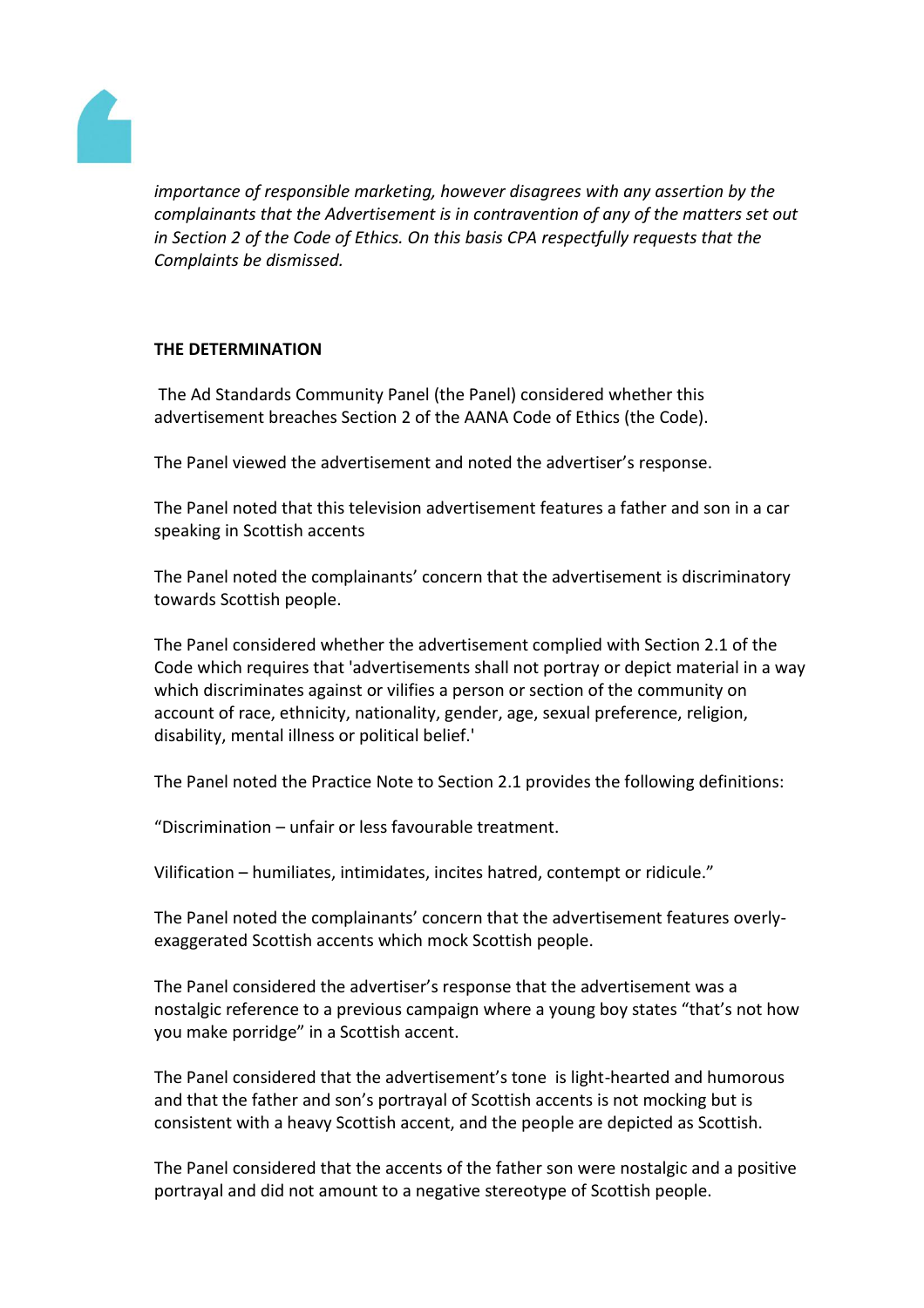

*importance of responsible marketing, however disagrees with any assertion by the complainants that the Advertisement is in contravention of any of the matters set out in Section 2 of the Code of Ethics. On this basis CPA respectfully requests that the Complaints be dismissed.*

## **THE DETERMINATION**

The Ad Standards Community Panel (the Panel) considered whether this advertisement breaches Section 2 of the AANA Code of Ethics (the Code).

The Panel viewed the advertisement and noted the advertiser's response.

The Panel noted that this television advertisement features a father and son in a car speaking in Scottish accents

The Panel noted the complainants' concern that the advertisement is discriminatory towards Scottish people.

The Panel considered whether the advertisement complied with Section 2.1 of the Code which requires that 'advertisements shall not portray or depict material in a way which discriminates against or vilifies a person or section of the community on account of race, ethnicity, nationality, gender, age, sexual preference, religion, disability, mental illness or political belief.'

The Panel noted the Practice Note to Section 2.1 provides the following definitions:

"Discrimination – unfair or less favourable treatment.

Vilification – humiliates, intimidates, incites hatred, contempt or ridicule."

The Panel noted the complainants' concern that the advertisement features overlyexaggerated Scottish accents which mock Scottish people.

The Panel considered the advertiser's response that the advertisement was a nostalgic reference to a previous campaign where a young boy states "that's not how you make porridge" in a Scottish accent.

The Panel considered that the advertisement's tone is light-hearted and humorous and that the father and son's portrayal of Scottish accents is not mocking but is consistent with a heavy Scottish accent, and the people are depicted as Scottish.

The Panel considered that the accents of the father son were nostalgic and a positive portrayal and did not amount to a negative stereotype of Scottish people.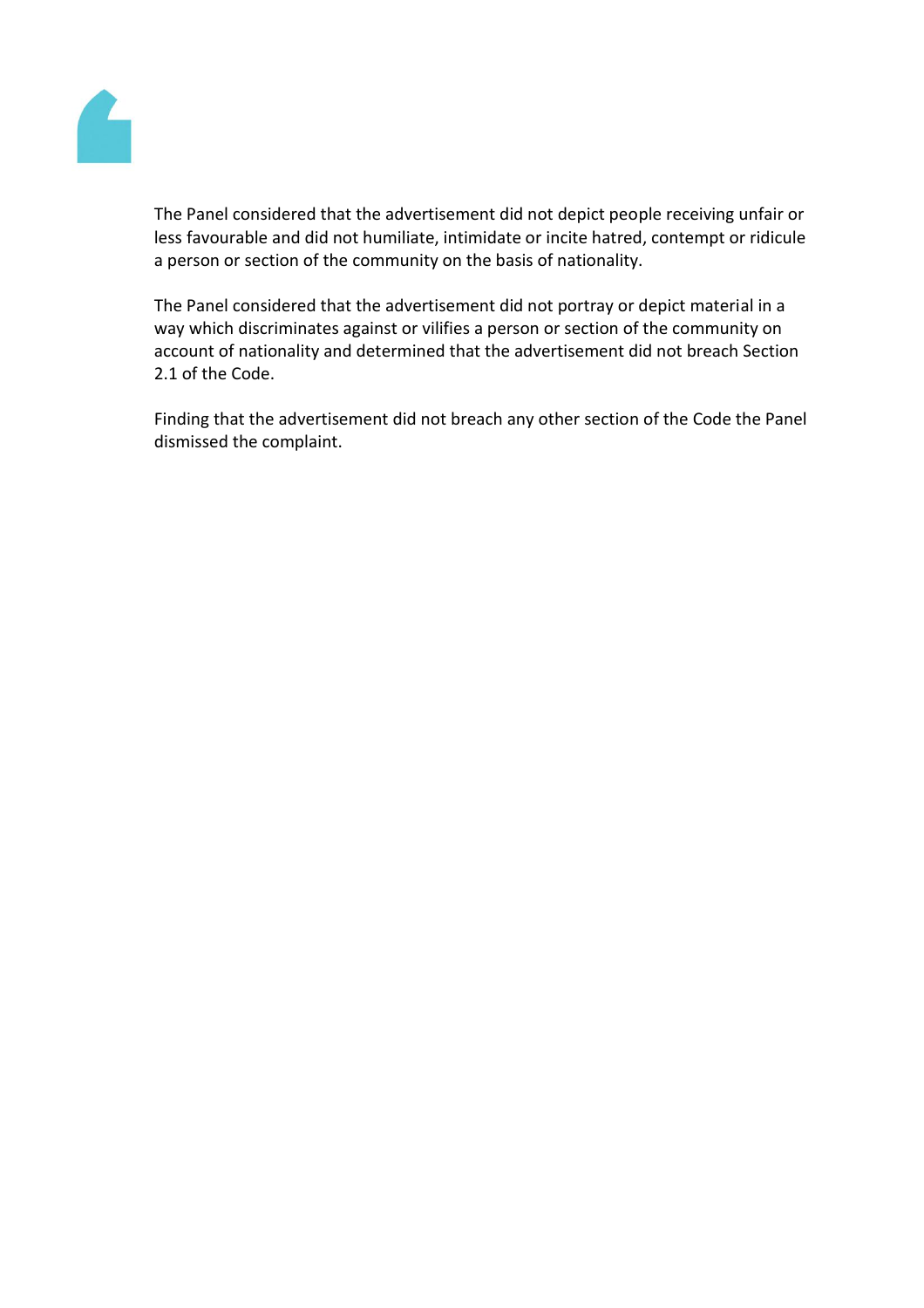

The Panel considered that the advertisement did not depict people receiving unfair or less favourable and did not humiliate, intimidate or incite hatred, contempt or ridicule a person or section of the community on the basis of nationality.

The Panel considered that the advertisement did not portray or depict material in a way which discriminates against or vilifies a person or section of the community on account of nationality and determined that the advertisement did not breach Section 2.1 of the Code.

Finding that the advertisement did not breach any other section of the Code the Panel dismissed the complaint.